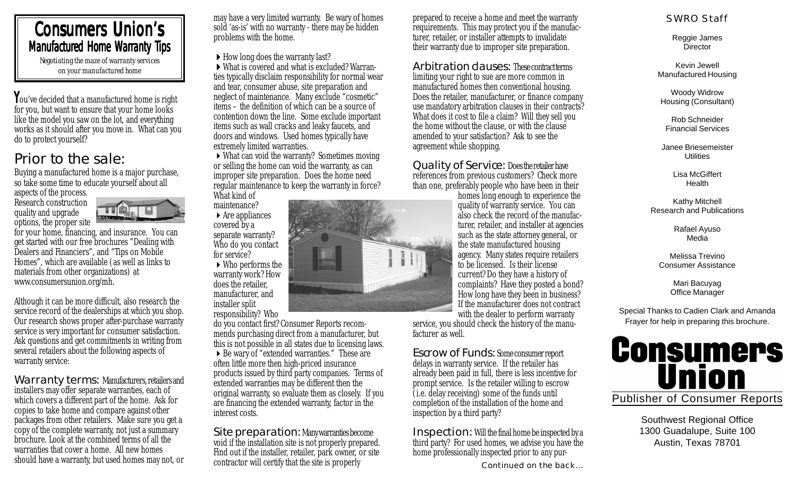#### Consumers Union's Manufactured Home Warranty Tips *Negotiating the maze of warranty services*

*on your manufactured home*

You've decided that a manufactured home is right for you, but want to ensure that your home looks like the model you saw on the lot, and everything works as it should after you move in. What can you do to protect yourself?

#### Prior to the sale:

Buying a manufactured home is a major purchase, so take some time to educate yourself about all aspects of the process.

Research construction quality and upgrade options, the proper site



for your home, financing, and insurance. You can get started with our free brochures "Dealing with Dealers and Financiers", and "Tips on Mobile Homes", which are available (as well as links to materials from other organizations) at www.consumersunion.org/mh.

Although it can be more difficult, also research the service record of the dealerships at which you shop. Our research shows proper after-purchase warranty service is very important for consumer satisfaction. Ask questions and get commitments in writing from several retailers about the following aspects of warranty service:

Warranty terms: Manufacturers, retailers and installers may offer separate warranties, each of which covers a different part of the home. Ask for copies to take home and compare against other packages from other retailers. Make sure you get a copy of the complete warranty, not just a summary brochure. Look at the combined terms of all the warranties that cover a home. All new homes should have a warranty, but used homes may not, or may have a very limited warranty. Be wary of homes sold 'as-is' with no warranty - there may be hidden problems with the home.

 $\blacktriangleright$  How long does the warranty last?

!What is covered and what is excluded? Warranties typically disclaim responsibility for normal wear and tear, consumer abuse, site preparation and neglect of maintenance. Many exclude "cosmetic" items – the definition of which can be a source of contention down the line. Some exclude important items such as wall cracks and leaky faucets, and doors and windows. Used homes typically have extremely limited warranties.

 $\triangleright$  What can void the warranty? Sometimes moving or selling the home can void the warranty, as can improper site preparation. Does the home need regular maintenance to keep the warranty in force? What kind of

maintenance?  $\blacktriangleright$  Are appliances covered by a separate warranty? Who do you contact for service? ▶ Who performs the

warranty work? How does the retailer, manufacturer, and installer split

responsibility? Who

do you contact first? Consumer Reports recommends purchasing direct from a manufacturer, but this is not possible in all states due to licensing laws. ▶ Be wary of "extended warranties." These are often little more then high-priced insurance products issued by third party companies. Terms of extended warranties may be different then the original warranty, so evaluate them as closely. If you are financing the extended warranty, factor in the interest costs.

Site preparation: Many warranties become void if the installation site is not properly prepared. Find out if the installer, retailer, park owner, or site contractor will certify that the site is properly

prepared to receive a home and meet the warranty requirements. This may protect you if the manufacturer, retailer, or installer attempts to invalidate their warranty due to improper site preparation.

Arbitration clauses: These contracterms limiting your right to sue are more common in manufactured homes then conventional housing. Does the retailer, manufacturer, or finance company use mandatory arbitration clauses in their contracts? What does it cost to file a claim? Will they sell you the home without the clause, or with the clause amended to your satisfaction? Ask to see the agreement while shopping.

Quality of Service: Does the retailer have references from previous customers? Check more than one, preferably people who have been in their

homes long enough to experience the quality of warranty service. You can also check the record of the manufacturer, retailer, and installer at agencies such as the state attorney general, or the state manufactured housing agency. Many states require retailers to be licensed. Is their license current? Do they have a history of complaints? Have they posted a bond? How long have they been in business? If the manufacturer does not contract with the dealer to perform warranty

service, you should check the history of the manufacturer as well.

Escrow of Funds: Some consumer report delays in warranty service. If the retailer has already been paid in full, there is less incentive for prompt service. Is the retailer willing to escrow (i.e. delay receiving) some of the funds until completion of the installation of the home and inspection by a third party?

Inspection:Will the final home be inspected by a third party? For used homes, we advise you have the home professionally inspected prior to any pur-

Continued on the back...

#### SWRO Staff

Reggie James **Director** 

Kevin Jewell Manufactured Housing

Woody Widrow Housing (Consultant)

Rob Schneider Financial Services

Janee Briesemeister **Utilities** 

> Lisa McGiffert **Health**

Kathy Mitchell Research and Publications

> Rafael Ayuso Media

Melissa Trevino Consumer Assistance

> Mari Bacuyag Office Manager

Special Thanks to Cadien Clark and Amanda Frayer for help in preparing this brochure.



Southwest Regional Office 1300 Guadalupe, Suite 100 Austin, Texas 78701